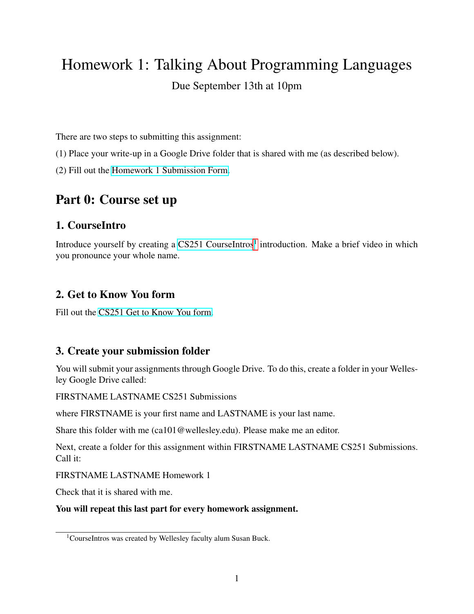# Homework 1: Talking About Programming Languages

## Due September 13th at 10pm

There are two steps to submitting this assignment:

- (1) Place your write-up in a Google Drive folder that is shared with me (as described below).
- (2) Fill out the [Homework 1 Submission Form.](https://forms.gle/xWhapJqFkyFSNPsj6)

## Part 0: Course set up

### 1. CourseIntro

Introduce yourself by creating a [CS251 CourseIntros](https://courseintros.com/wellesley-cs251-f21)<sup>[1](#page-0-0)</sup> introduction. Make a brief video in which you pronounce your whole name.

### 2. Get to Know You form

Fill out the [CS251 Get to Know You form.](https://forms.gle/1gRM8GEptobvgD5w8)

## 3. Create your submission folder

You will submit your assignments through Google Drive. To do this, create a folder in your Wellesley Google Drive called:

FIRSTNAME LASTNAME CS251 Submissions

where FIRSTNAME is your first name and LASTNAME is your last name.

Share this folder with me (ca101@wellesley.edu). Please make me an editor.

Next, create a folder for this assignment within FIRSTNAME LASTNAME CS251 Submissions. Call it:

FIRSTNAME LASTNAME Homework 1

Check that it is shared with me.

#### You will repeat this last part for every homework assignment.

<span id="page-0-0"></span><sup>&</sup>lt;sup>1</sup>CourseIntros was created by Wellesley faculty alum Susan Buck.